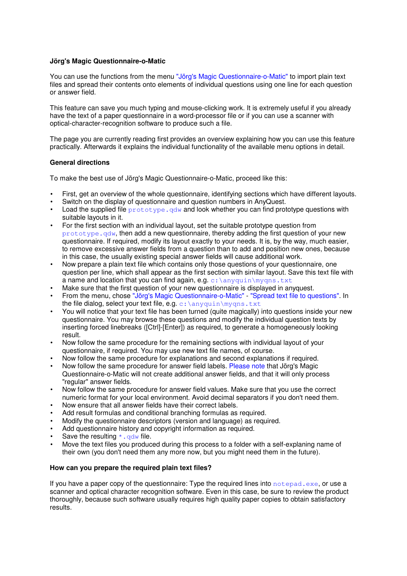# **Jörg's Magic Questionnaire-o-Matic**

You can use the functions from the menu "Jörg's Magic Questionnaire-o-Matic" to import plain text files and spread their contents onto elements of individual questions using one line for each question or answer field.

This feature can save you much typing and mouse-clicking work. It is extremely useful if you already have the text of a paper questionnaire in a word-processor file or if you can use a scanner with optical-character-recognition software to produce such a file.

The page you are currently reading first provides an overview explaining how you can use this feature practically. Afterwards it explains the individual functionality of the available menu options in detail.

# **General directions**

To make the best use of Jörg's Magic Questionnaire-o-Matic, proceed like this:

- First, get an overview of the whole questionnaire, identifying sections which have different layouts.
- Switch on the display of questionnaire and question numbers in AnyQuest.
- Load the supplied file prototype.  $qdw$  and look whether you can find prototype questions with suitable layouts in it.
- For the first section with an individual layout, set the suitable prototype question from prototype.qdw, then add a new questionnaire, thereby adding the first question of your new questionnaire. If required, modify its layout exactly to your needs. It is, by the way, much easier, to remove excessive answer fields from a question than to add and position new ones, because in this case, the usually existing special answer fields will cause additional work.
- Now prepare a plain text file which contains only those questions of your questionnaire, one question per line, which shall appear as the first section with similar layout. Save this text file with a name and location that you can find again, e.g.  $c:\n\alpha\sqrt{q}$
- Make sure that the first question of your new questionnaire is displayed in anyquest.
- From the menu, chose "Jörg's Magic Questionnaire-o-Matic" "Spread text file to questions". In the file dialog, select your text file, e.g. c:\anyquin\myqns.txt
- You will notice that your text file has been turned (quite magically) into questions inside your new questionnaire. You may browse these questions and modify the individual question texts by inserting forced linebreaks ([Ctrl]-[Enter]) as required, to generate a homogeneously looking result.
- Now follow the same procedure for the remaining sections with individual layout of your questionnaire, if required. You may use new text file names, of course.
- Now follow the same procedure for explanations and second explanations if required.
- Now follow the same procedure for answer field labels. Please note that Jörg's Magic Questionnaire-o-Matic will not create additional answer fields, and that it will only process "regular" answer fields.
- Now follow the same procedure for answer field values. Make sure that you use the correct numeric format for your local environment. Avoid decimal separators if you don't need them.
- Now ensure that all answer fields have their correct labels.
- Add result formulas and conditional branching formulas as required.
- Modify the questionnaire descriptors (version and language) as required.
- Add questionnaire history and copyright information as required.
- Save the resulting  $*$  .  $\frac{1}{2}$  and solution state.
- Move the text files you produced during this process to a folder with a self-explaning name of their own (you don't need them any more now, but you might need them in the future).

### **How can you prepare the required plain text files?**

If you have a paper copy of the questionnaire: Type the required lines into notepad.exe, or use a scanner and optical character recognition software. Even in this case, be sure to review the product thoroughly, because such software usually requires high quality paper copies to obtain satisfactory results.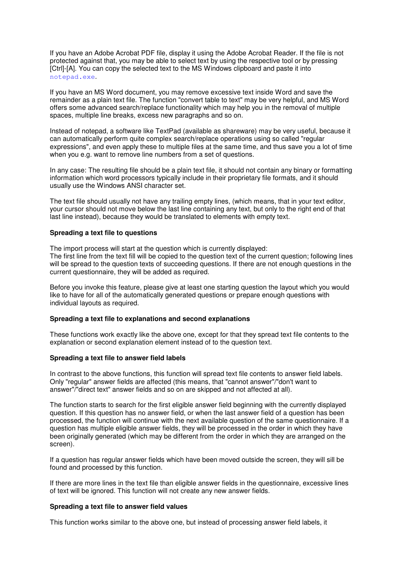If you have an Adobe Acrobat PDF file, display it using the Adobe Acrobat Reader. If the file is not protected against that, you may be able to select text by using the respective tool or by pressing [Ctrl]-[A]. You can copy the selected text to the MS Windows clipboard and paste it into notepad.exe.

If you have an MS Word document, you may remove excessive text inside Word and save the remainder as a plain text file. The function "convert table to text" may be very helpful, and MS Word offers some advanced search/replace functionality which may help you in the removal of multiple spaces, multiple line breaks, excess new paragraphs and so on.

Instead of notepad, a software like TextPad (available as shareware) may be very useful, because it can automatically perform quite complex search/replace operations using so called "regular expressions", and even apply these to multiple files at the same time, and thus save you a lot of time when you e.g. want to remove line numbers from a set of questions.

In any case: The resulting file should be a plain text file, it should not contain any binary or formatting information which word processors typically include in their proprietary file formats, and it should usually use the Windows ANSI character set.

The text file should usually not have any trailing empty lines, (which means, that in your text editor, your cursor should not move below the last line containing any text, but only to the right end of that last line instead), because they would be translated to elements with empty text.

### **Spreading a text file to questions**

The import process will start at the question which is currently displayed:

The first line from the text fill will be copied to the question text of the current question; following lines will be spread to the question texts of succeeding questions. If there are not enough questions in the current questionnaire, they will be added as required.

Before you invoke this feature, please give at least one starting question the layout which you would like to have for all of the automatically generated questions or prepare enough questions with individual layouts as required.

### **Spreading a text file to explanations and second explanations**

These functions work exactly like the above one, except for that they spread text file contents to the explanation or second explanation element instead of to the question text.

### **Spreading a text file to answer field labels**

In contrast to the above functions, this function will spread text file contents to answer field labels. Only "regular" answer fields are affected (this means, that "cannot answer"/"don't want to answer"/"direct text" answer fields and so on are skipped and not affected at all).

The function starts to search for the first eligible answer field beginning with the currently displayed question. If this question has no answer field, or when the last answer field of a question has been processed, the function will continue with the next available question of the same questionnaire. If a question has multiple eligible answer fields, they will be processed in the order in which they have been originally generated (which may be different from the order in which they are arranged on the screen).

If a question has regular answer fields which have been moved outside the screen, they will sill be found and processed by this function.

If there are more lines in the text file than eligible answer fields in the questionnaire, excessive lines of text will be ignored. This function will not create any new answer fields.

### **Spreading a text file to answer field values**

This function works similar to the above one, but instead of processing answer field labels, it